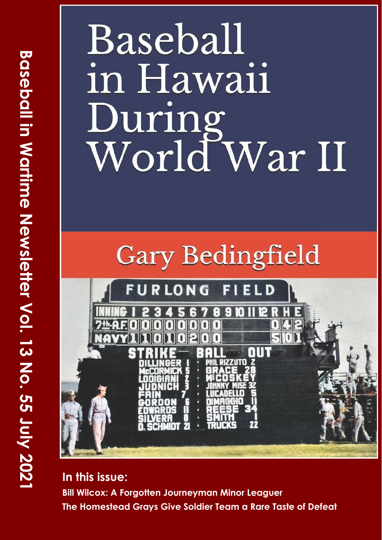# Baseball in Hawaii During<br>World War II



**In this issue: Bill Wilcox: A Forgotten Journeyman Minor Leaguer The Homestead Grays Give Soldier Team a Rare Taste of Defeat**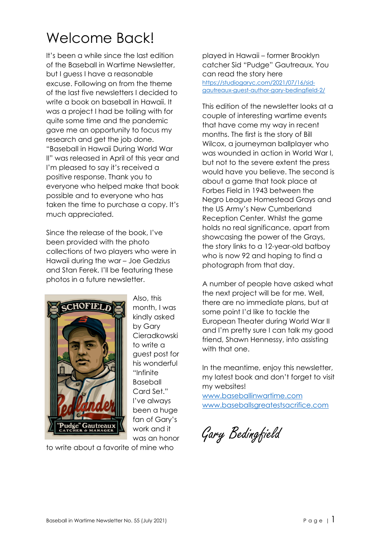#### Welcome Back!

It's been a while since the last edition of the Baseball in Wartime Newsletter, but I guess I have a reasonable excuse. Following on from the theme of the last five newsletters I decided to write a book on baseball in Hawaii. It was a project I had be toiling with for quite some time and the pandemic gave me an opportunity to focus my research and get the job done. "Baseball in Hawaii During World War II" was released in April of this year and I'm pleased to say it's received a positive response. Thank you to everyone who helped make that book possible and to everyone who has taken the time to purchase a copy. It's much appreciated.

Since the release of the book, I've been provided with the photo collections of two players who were in Hawaii during the war – Joe Gedzius and Stan Ferek. I'll be featuring these photos in a future newsletter.



Also, this month, I was kindly asked by Gary Cieradkowski to write a guest post for his wonderful "Infinite Baseball Card Set." I've always been a huge fan of Gary's work and it was an honor

to write about a favorite of mine who

played in Hawaii – former Brooklyn catcher Sid "Pudge" Gautreaux. You can read the story here https://studiogaryc.com/2021/07/16/sid[gautreaux-guest-author-gary-bedingfield-2/](https://studiogaryc.com/2021/07/16/sid-gautreaux-guest-author-gary-bedingfield-2/)

This edition of the newsletter looks at a couple of interesting wartime events that have come my way in recent months. The first is the story of Bill Wilcox, a journeyman ballplayer who was wounded in action in World War I, but not to the severe extent the press would have you believe. The second is about a game that took place at Forbes Field in 1943 between the Negro League Homestead Grays and the US Army's New Cumberland Reception Center. Whilst the game holds no real significance, apart from showcasing the power of the Grays, the story links to a 12-year-old batboy who is now 92 and hoping to find a photograph from that day.

A number of people have asked what the next project will be for me. Well, there are no immediate plans, but at some point I'd like to tackle the European Theater during World War II and I'm pretty sure I can talk my good friend, Shawn Hennessy, into assisting with that one.

In the meantime, enjoy this newsletter, my latest book and don't forget to visit my websites!

[www.baseballinwartime.com](http://www.baseballinwartime.com) [www.baseballsgreatestsacrifice.com](http://www.baseballsgreatestsacrifice.com)

Gary Bedingfield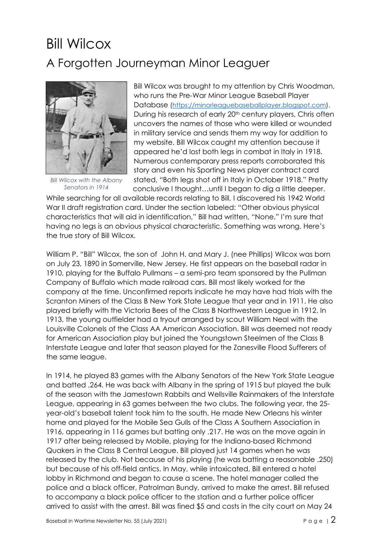#### Bill Wilcox A Forgotten Journeyman Minor Leaguer



*Bill Wilcox with the Albany Senators in 1914*

Bill Wilcox was brought to my attention by Chris Woodman, who runs the Pre-War Minor League Baseball Player Database (<https://minorleaguebaseballplayer.blogspot.com>). During his research of early 20<sup>th</sup> century players, Chris often uncovers the names of those who were killed or wounded in military service and sends them my way for addition to my website. Bill Wilcox caught my attention because it appeared he'd lost both legs in combat in Italy in 1918. Numerous contemporary press reports corroborated this story and even his Sporting News player contract card stated, "Both legs shot off in Italy in October 1918." Pretty conclusive I thought…until I began to dig a little deeper.

While searching for all available records relating to Bill, I discovered his 1942 World War II draft registration card. Under the section labeled: "Other obvious physical characteristics that will aid in identification," Bill had written, "None." I'm sure that having no legs is an obvious physical characteristic. Something was wrong. Here's the true story of Bill Wilcox.

William P. "Bill" Wilcox, the son of John H. and Mary J. (nee Phillips) Wilcox was born on July 23, 1890 in Somerville, New Jersey. He first appears on the baseball radar in 1910, playing for the Buffalo Pullmans – a semi-pro team sponsored by the Pullman Company of Buffalo which made railroad cars. Bill most likely worked for the company at the time. Unconfirmed reports indicate he may have had trials with the Scranton Miners of the Class B New York State League that year and in 1911. He also played briefly with the Victoria Bees of the Class B Northwestern League in 1912. In 1913, the young outfielder had a tryout arranged by scout William Neal with the Louisville Colonels of the Class AA American Association. Bill was deemed not ready for American Association play but joined the Youngstown Steelmen of the Class B Interstate League and later that season played for the Zanesville Flood Sufferers of the same league.

In 1914, he played 83 games with the Albany Senators of the New York State League and batted .264. He was back with Albany in the spring of 1915 but played the bulk of the season with the Jamestown Rabbits and Wellsville Rainmakers of the Interstate League, appearing in 63 games between the two clubs. The following year, the 25 year-old's baseball talent took him to the south. He made New Orleans his winter home and played for the Mobile Sea Gulls of the Class A Southern Association in 1916, appearing in 116 games but batting only .217. He was on the move again in 1917 after being released by Mobile, playing for the Indiana-based Richmond Quakers in the Class B Central League. Bill played just 14 games when he was released by the club. Not because of his playing (he was batting a reasonable .250) but because of his off-field antics. In May, while intoxicated, Bill entered a hotel lobby in Richmond and began to cause a scene. The hotel manager called the police and a black officer, Patrolman Bundy, arrived to make the arrest. Bill refused to accompany a black police officer to the station and a further police officer arrived to assist with the arrest. Bill was fined \$5 and costs in the city court on May 24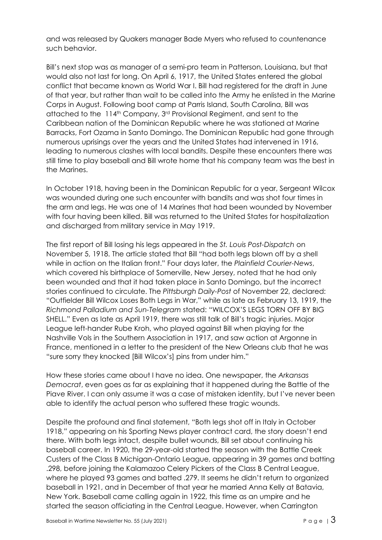and was released by Quakers manager Bade Myers who refused to countenance such behavior.

Bill's next stop was as manager of a semi-pro team in Patterson, Louisiana, but that would also not last for long. On April 6, 1917, the United States entered the global conflict that became known as World War I. Bill had registered for the draft in June of that year, but rather than wait to be called into the Army he enlisted in the Marine Corps in August. Following boot camp at Parris Island, South Carolina, Bill was attached to the 114<sup>th</sup> Company, 3<sup>rd</sup> Provisional Regiment, and sent to the Caribbean nation of the Dominican Republic where he was stationed at Marine Barracks, Fort Ozama in Santo Domingo. The Dominican Republic had gone through numerous uprisings over the years and the United States had intervened in 1916, leading to numerous clashes with local bandits. Despite these encounters there was still time to play baseball and Bill wrote home that his company team was the best in the Marines.

In October 1918, having been in the Dominican Republic for a year, Sergeant Wilcox was wounded during one such encounter with bandits and was shot four times in the arm and legs. He was one of 14 Marines that had been wounded by November with four having been killed. Bill was returned to the United States for hospitalization and discharged from military service in May 1919.

The first report of Bill losing his legs appeared in the *St. Louis Post-Dispatch* on November 5, 1918. The article stated that Bill "had both legs blown off by a shell while in action on the Italian front." Four days later, the *Plainfield Courier-News*, which covered his birthplace of Somerville, New Jersey, noted that he had only been wounded and that it had taken place in Santo Domingo, but the incorrect stories continued to circulate. The *Pittsburgh Daily-Post* of November 22, declared: "Outfielder Bill Wilcox Loses Both Legs in War," while as late as February 13, 1919, the *Richmond Palladium and Sun-Telegram* stated: "WILCOX'S LEGS TORN OFF BY BIG SHELL." Even as late as April 1919, there was still talk of Bill's tragic injuries. Major League left-hander Rube Kroh, who played against Bill when playing for the Nashville Vols in the Southern Association in 1917, and saw action at Argonne in France, mentioned in a letter to the president of the New Orleans club that he was "sure sorry they knocked [Bill Wilcox's] pins from under him."

How these stories came about I have no idea. One newspaper, the *Arkansas Democrat*, even goes as far as explaining that it happened during the Battle of the Piave River. I can only assume it was a case of mistaken identity, but I've never been able to identify the actual person who suffered these tragic wounds.

Despite the profound and final statement, "Both legs shot off in Italy in October 1918," appearing on his Sporting News player contract card, the story doesn't end there. With both legs intact, despite bullet wounds, Bill set about continuing his baseball career. In 1920, the 29-year-old started the season with the Battle Creek Custers of the Class B Michigan-Ontario League, appearing in 39 games and batting .298, before joining the Kalamazoo Celery Pickers of the Class B Central League, where he played 93 games and batted .279. It seems he didn't return to organized baseball in 1921, and in December of that year he married Anna Kelly at Batavia, New York. Baseball came calling again in 1922, this time as an umpire and he started the season officiating in the Central League. However, when Carrington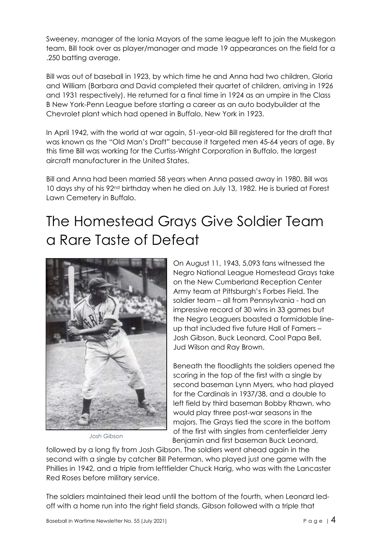Sweeney, manager of the Ionia Mayors of the same league left to join the Muskegon team, Bill took over as player/manager and made 19 appearances on the field for a .250 batting average.

Bill was out of baseball in 1923, by which time he and Anna had two children, Gloria and William (Barbara and David completed their quartet of children, arriving in 1926 and 1931 respectively). He returned for a final time in 1924 as an umpire in the Class B New York-Penn League before starting a career as an auto bodybuilder at the Chevrolet plant which had opened in Buffalo, New York in 1923.

In April 1942, with the world at war again, 51-year-old Bill registered for the draft that was known as the "Old Man's Draft" because it targeted men 45-64 years of age. By this time Bill was working for the Curtiss-Wright Corporation in Buffalo, the largest aircraft manufacturer in the United States.

Bill and Anna had been married 58 years when Anna passed away in 1980. Bill was 10 days shy of his 92nd birthday when he died on July 13, 1982. He is buried at Forest Lawn Cemetery in Buffalo.

#### The Homestead Grays Give Soldier Team a Rare Taste of Defeat



*Josh Gibson*

On August 11, 1943, 5,093 fans witnessed the Negro National League Homestead Grays take on the New Cumberland Reception Center Army team at Pittsburgh's Forbes Field. The soldier team – all from Pennsylvania - had an impressive record of 30 wins in 33 games but the Negro Leaguers boasted a formidable lineup that included five future Hall of Famers – Josh Gibson, Buck Leonard, Cool Papa Bell, Jud Wilson and Ray Brown.

Beneath the floodlights the soldiers opened the scoring in the top of the first with a single by second baseman Lynn Myers, who had played for the Cardinals in 1937/38, and a double to left field by third baseman Bobby Rhawn, who would play three post-war seasons in the majors. The Grays tied the score in the bottom of the first with singles from centerfielder Jerry Benjamin and first baseman Buck Leonard,

followed by a long fly from Josh Gibson. The soldiers went ahead again in the second with a single by catcher Bill Peterman, who played just one game with the Phillies in 1942, and a triple from leftfielder Chuck Harig, who was with the Lancaster Red Roses before military service.

The soldiers maintained their lead until the bottom of the fourth, when Leonard ledoff with a home run into the right field stands. Gibson followed with a triple that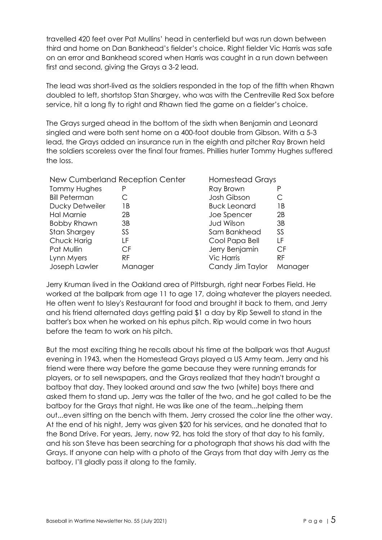travelled 420 feet over Pat Mullins' head in centerfield but was run down between third and home on Dan Bankhead's fielder's choice. Right fielder Vic Harris was safe on an error and Bankhead scored when Harris was caught in a run down between first and second, giving the Grays a 3-2 lead.

The lead was short-lived as the soldiers responded in the top of the fifth when Rhawn doubled to left, shortstop Stan Shargey, who was with the Centreville Red Sox before service, hit a long fly to right and Rhawn tied the game on a fielder's choice.

The Grays surged ahead in the bottom of the sixth when Benjamin and Leonard singled and were both sent home on a 400-foot double from Gibson. With a 5-3 lead, the Grays added an insurance run in the eighth and pitcher Ray Brown held the soldiers scoreless over the final four frames. Phillies hurler Tommy Hughes suffered the loss.

| New Cumberland Reception Center |           | <b>Homestead Grays</b> |           |
|---------------------------------|-----------|------------------------|-----------|
| <b>Tommy Hughes</b>             | P         | Ray Brown              |           |
| <b>Bill Peterman</b>            |           | Josh Gibson            |           |
| Ducky Detweiler                 | 1 B       | <b>Buck Leonard</b>    | 1 B       |
| Hal Marnie                      | 2B        | Joe Spencer            | 2B        |
| <b>Bobby Rhawn</b>              | 3B        | <b>Jud Wilson</b>      | 3B        |
| <b>Stan Shargey</b>             | SS        | Sam Bankhead           | SS        |
| Chuck Harig                     | LF        | Cool Papa Bell         | ΙF        |
| Pat Mullin                      | CF        | Jerry Benjamin         | CF        |
| Lynn Myers                      | <b>RF</b> | <b>Vic Harris</b>      | <b>RF</b> |
| Joseph Lawler                   | Manager   | Candy Jim Taylor       | Manager   |

Jerry Kruman lived in the Oakland area of Pittsburgh, right near Forbes Field. He worked at the ballpark from age 11 to age 17, doing whatever the players needed. He often went to Isley's Restaurant for food and brought it back to them, and Jerry and his friend alternated days getting paid \$1 a day by Rip Sewell to stand in the batter's box when he worked on his ephus pitch. Rip would come in two hours before the team to work on his pitch.

But the most exciting thing he recalls about his time at the ballpark was that August evening in 1943, when the Homestead Grays played a US Army team. Jerry and his friend were there way before the game because they were running errands for players, or to sell newspapers, and the Grays realized that they hadn't brought a batboy that day. They looked around and saw the two (white) boys there and asked them to stand up. Jerry was the taller of the two, and he got called to be the batboy for the Grays that night. He was like one of the team...helping them out...even sitting on the bench with them. Jerry crossed the color line the other way. At the end of his night, Jerry was given \$20 for his services, and he donated that to the Bond Drive. For years, Jerry, now 92, has told the story of that day to his family, and his son Steve has been searching for a photograph that shows his dad with the Grays. If anyone can help with a photo of the Grays from that day with Jerry as the batboy, I'll gladly pass it along to the family.